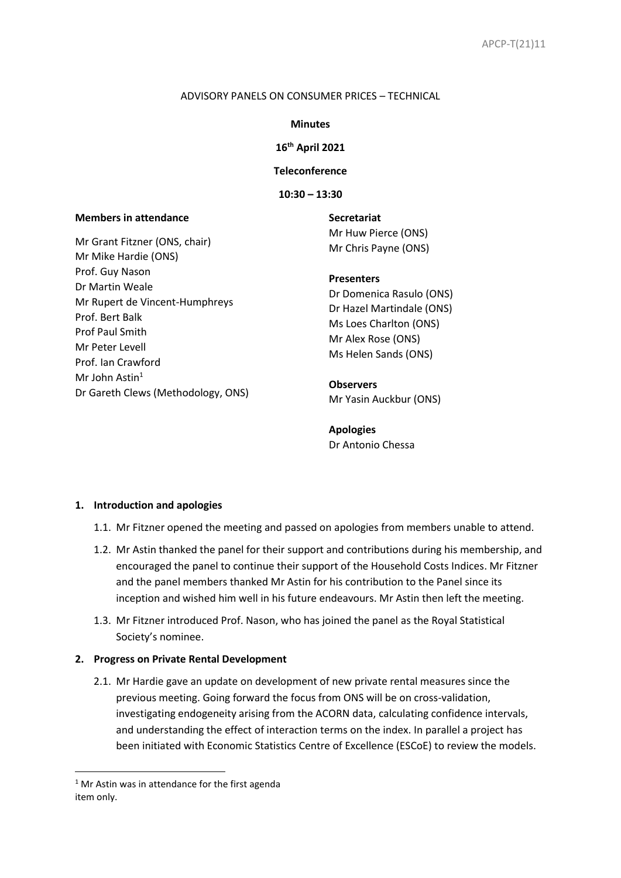### ADVISORY PANELS ON CONSUMER PRICES – TECHNICAL

### **Minutes**

# **16 th April 2021**

**Teleconference**

**10:30 – 13:30**

## **Members in attendance**

Mr Grant Fitzner (ONS, chair) Mr Mike Hardie (ONS) Prof. Guy Nason Dr Martin Weale Mr Rupert de Vincent-Humphreys Prof. Bert Balk Prof Paul Smith Mr Peter Levell Prof. Ian Crawford Mr John Astin $1$ Dr Gareth Clews (Methodology, ONS) **Secretariat** Mr Huw Pierce (ONS) Mr Chris Payne (ONS)

## **Presenters**

Dr Domenica Rasulo (ONS) Dr Hazel Martindale (ONS) Ms Loes Charlton (ONS) Mr Alex Rose (ONS) Ms Helen Sands (ONS)

**Observers** Mr Yasin Auckbur (ONS)

**Apologies** Dr Antonio Chessa

#### **1. Introduction and apologies**

- 1.1. Mr Fitzner opened the meeting and passed on apologies from members unable to attend.
- 1.2. Mr Astin thanked the panel for their support and contributions during his membership, and encouraged the panel to continue their support of the Household Costs Indices. Mr Fitzner and the panel members thanked Mr Astin for his contribution to the Panel since its inception and wished him well in his future endeavours. Mr Astin then left the meeting.
- 1.3. Mr Fitzner introduced Prof. Nason, who has joined the panel as the Royal Statistical Society's nominee.

#### **2. Progress on Private Rental Development**

2.1. Mr Hardie gave an update on development of new private rental measures since the previous meeting. Going forward the focus from ONS will be on cross-validation, investigating endogeneity arising from the ACORN data, calculating confidence intervals, and understanding the effect of interaction terms on the index. In parallel a project has been initiated with Economic Statistics Centre of Excellence (ESCoE) to review the models.

 $1$  Mr Astin was in attendance for the first agenda item only.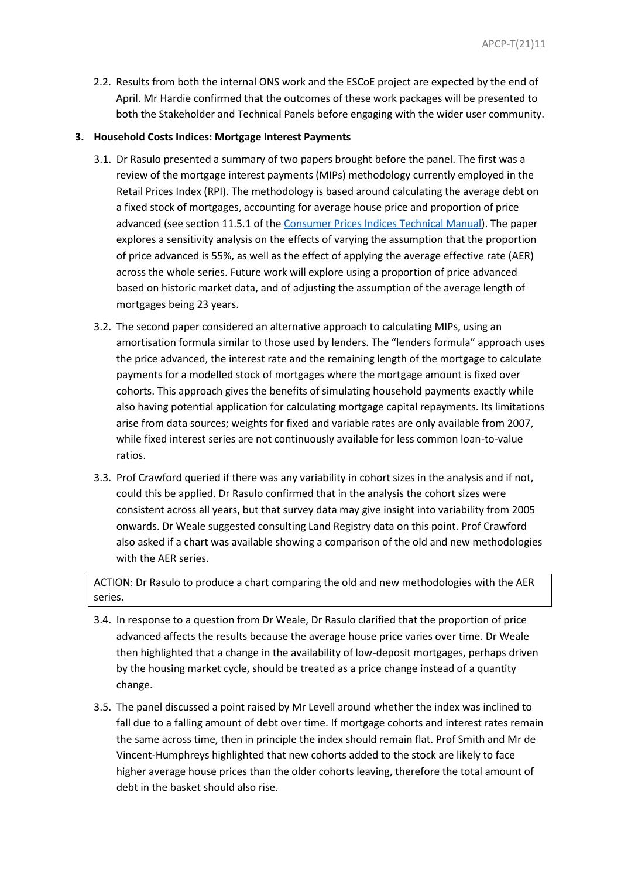2.2. Results from both the internal ONS work and the ESCoE project are expected by the end of April. Mr Hardie confirmed that the outcomes of these work packages will be presented to both the Stakeholder and Technical Panels before engaging with the wider user community.

# **3. Household Costs Indices: Mortgage Interest Payments**

- 3.1. Dr Rasulo presented a summary of two papers brought before the panel. The first was a review of the mortgage interest payments (MIPs) methodology currently employed in the Retail Prices Index (RPI). The methodology is based around calculating the average debt on a fixed stock of mortgages, accounting for average house price and proportion of price advanced (see section 11.5.1 of the [Consumer Prices Indices Technical Manual\)](https://www.ons.gov.uk/economy/inflationandpriceindices/methodologies/consumerpricesindicestechnicalmanual2019#retail-prices-index). The paper explores a sensitivity analysis on the effects of varying the assumption that the proportion of price advanced is 55%, as well as the effect of applying the average effective rate (AER) across the whole series. Future work will explore using a proportion of price advanced based on historic market data, and of adjusting the assumption of the average length of mortgages being 23 years.
- 3.2. The second paper considered an alternative approach to calculating MIPs, using an amortisation formula similar to those used by lenders. The "lenders formula" approach uses the price advanced, the interest rate and the remaining length of the mortgage to calculate payments for a modelled stock of mortgages where the mortgage amount is fixed over cohorts. This approach gives the benefits of simulating household payments exactly while also having potential application for calculating mortgage capital repayments. Its limitations arise from data sources; weights for fixed and variable rates are only available from 2007, while fixed interest series are not continuously available for less common loan-to-value ratios.
- 3.3. Prof Crawford queried if there was any variability in cohort sizes in the analysis and if not, could this be applied. Dr Rasulo confirmed that in the analysis the cohort sizes were consistent across all years, but that survey data may give insight into variability from 2005 onwards. Dr Weale suggested consulting Land Registry data on this point. Prof Crawford also asked if a chart was available showing a comparison of the old and new methodologies with the AER series.

ACTION: Dr Rasulo to produce a chart comparing the old and new methodologies with the AER series.

- 3.4. In response to a question from Dr Weale, Dr Rasulo clarified that the proportion of price advanced affects the results because the average house price varies over time. Dr Weale then highlighted that a change in the availability of low-deposit mortgages, perhaps driven by the housing market cycle, should be treated as a price change instead of a quantity change.
- 3.5. The panel discussed a point raised by Mr Levell around whether the index was inclined to fall due to a falling amount of debt over time. If mortgage cohorts and interest rates remain the same across time, then in principle the index should remain flat. Prof Smith and Mr de Vincent-Humphreys highlighted that new cohorts added to the stock are likely to face higher average house prices than the older cohorts leaving, therefore the total amount of debt in the basket should also rise.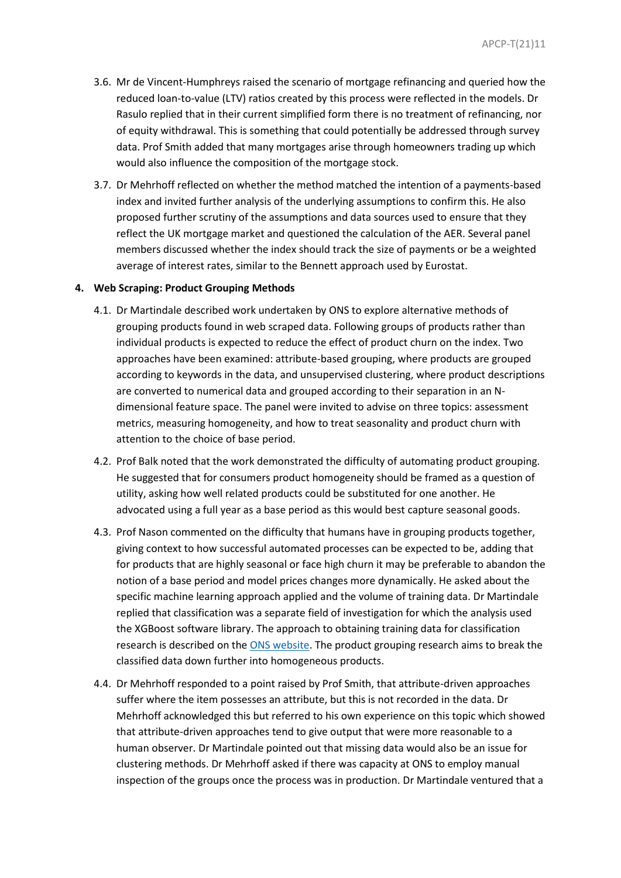- 3.6. Mr de Vincent-Humphreys raised the scenario of mortgage refinancing and queried how the reduced loan-to-value (LTV) ratios created by this process were reflected in the models. Dr Rasulo replied that in their current simplified form there is no treatment of refinancing, nor of equity withdrawal. This is something that could potentially be addressed through survey data. Prof Smith added that many mortgages arise through homeowners trading up which would also influence the composition of the mortgage stock.
- 3.7. Dr Mehrhoff reflected on whether the method matched the intention of a payments-based index and invited further analysis of the underlying assumptions to confirm this. He also proposed further scrutiny of the assumptions and data sources used to ensure that they reflect the UK mortgage market and questioned the calculation of the AER. Several panel members discussed whether the index should track the size of payments or be a weighted average of interest rates, similar to the Bennett approach used by Eurostat.

#### **4. Web Scraping: Product Grouping Methods**

- 4.1. Dr Martindale described work undertaken by ONS to explore alternative methods of grouping products found in web scraped data. Following groups of products rather than individual products is expected to reduce the effect of product churn on the index. Two approaches have been examined: attribute-based grouping, where products are grouped according to keywords in the data, and unsupervised clustering, where product descriptions are converted to numerical data and grouped according to their separation in an Ndimensional feature space. The panel were invited to advise on three topics: assessment metrics, measuring homogeneity, and how to treat seasonality and product churn with attention to the choice of base period.
- 4.2. Prof Balk noted that the work demonstrated the difficulty of automating product grouping. He suggested that for consumers product homogeneity should be framed as a question of utility, asking how well related products could be substituted for one another. He advocated using a full year as a base period as this would best capture seasonal goods.
- 4.3. Prof Nason commented on the difficulty that humans have in grouping products together, giving context to how successful automated processes can be expected to be, adding that for products that are highly seasonal or face high churn it may be preferable to abandon the notion of a base period and model prices changes more dynamically. He asked about the specific machine learning approach applied and the volume of training data. Dr Martindale replied that classification was a separate field of investigation for which the analysis used the XGBoost software library. The approach to obtaining training data for classification research is described on th[e ONS website.](https://www.ons.gov.uk/economy/inflationandpriceindices/articles/automatedclassificationofwebscrapedclothingdatainconsumerpricestatistics/2020-09-01#obtaining-a-large-labelled-dataset) The product grouping research aims to break the classified data down further into homogeneous products.
- 4.4. Dr Mehrhoff responded to a point raised by Prof Smith, that attribute-driven approaches suffer where the item possesses an attribute, but this is not recorded in the data. Dr Mehrhoff acknowledged this but referred to his own experience on this topic which showed that attribute-driven approaches tend to give output that were more reasonable to a human observer. Dr Martindale pointed out that missing data would also be an issue for clustering methods. Dr Mehrhoff asked if there was capacity at ONS to employ manual inspection of the groups once the process was in production. Dr Martindale ventured that a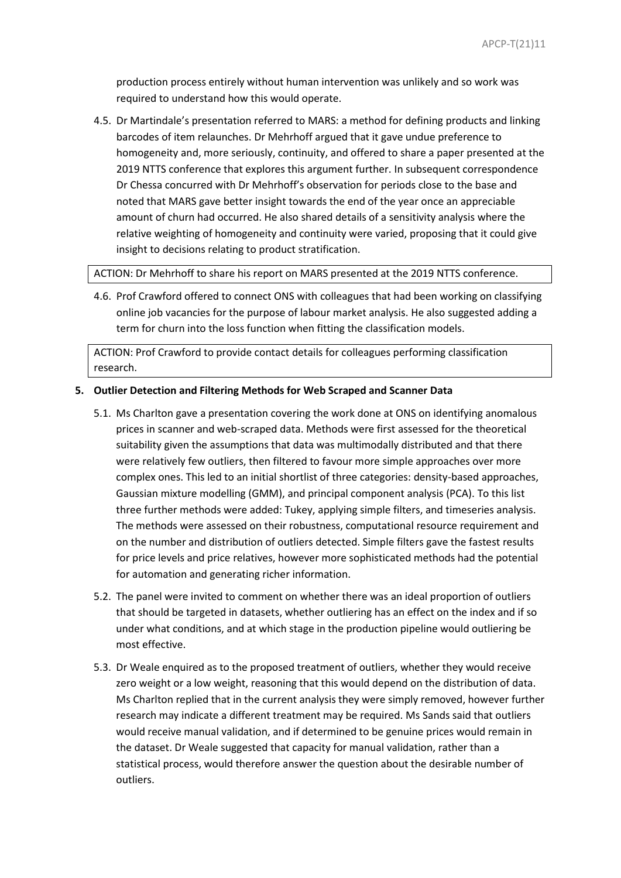production process entirely without human intervention was unlikely and so work was required to understand how this would operate.

4.5. Dr Martindale's presentation referred to MARS: a method for defining products and linking barcodes of item relaunches. Dr Mehrhoff argued that it gave undue preference to homogeneity and, more seriously, continuity, and offered to share a paper presented at the 2019 NTTS conference that explores this argument further. In subsequent correspondence Dr Chessa concurred with Dr Mehrhoff's observation for periods close to the base and noted that MARS gave better insight towards the end of the year once an appreciable amount of churn had occurred. He also shared details of a sensitivity analysis where the relative weighting of homogeneity and continuity were varied, proposing that it could give insight to decisions relating to product stratification.

ACTION: Dr Mehrhoff to share his report on MARS presented at the 2019 NTTS conference.

4.6. Prof Crawford offered to connect ONS with colleagues that had been working on classifying online job vacancies for the purpose of labour market analysis. He also suggested adding a term for churn into the loss function when fitting the classification models.

ACTION: Prof Crawford to provide contact details for colleagues performing classification research.

## **5. Outlier Detection and Filtering Methods for Web Scraped and Scanner Data**

- 5.1. Ms Charlton gave a presentation covering the work done at ONS on identifying anomalous prices in scanner and web-scraped data. Methods were first assessed for the theoretical suitability given the assumptions that data was multimodally distributed and that there were relatively few outliers, then filtered to favour more simple approaches over more complex ones. This led to an initial shortlist of three categories: density-based approaches, Gaussian mixture modelling (GMM), and principal component analysis (PCA). To this list three further methods were added: Tukey, applying simple filters, and timeseries analysis. The methods were assessed on their robustness, computational resource requirement and on the number and distribution of outliers detected. Simple filters gave the fastest results for price levels and price relatives, however more sophisticated methods had the potential for automation and generating richer information.
- 5.2. The panel were invited to comment on whether there was an ideal proportion of outliers that should be targeted in datasets, whether outliering has an effect on the index and if so under what conditions, and at which stage in the production pipeline would outliering be most effective.
- 5.3. Dr Weale enquired as to the proposed treatment of outliers, whether they would receive zero weight or a low weight, reasoning that this would depend on the distribution of data. Ms Charlton replied that in the current analysis they were simply removed, however further research may indicate a different treatment may be required. Ms Sands said that outliers would receive manual validation, and if determined to be genuine prices would remain in the dataset. Dr Weale suggested that capacity for manual validation, rather than a statistical process, would therefore answer the question about the desirable number of outliers.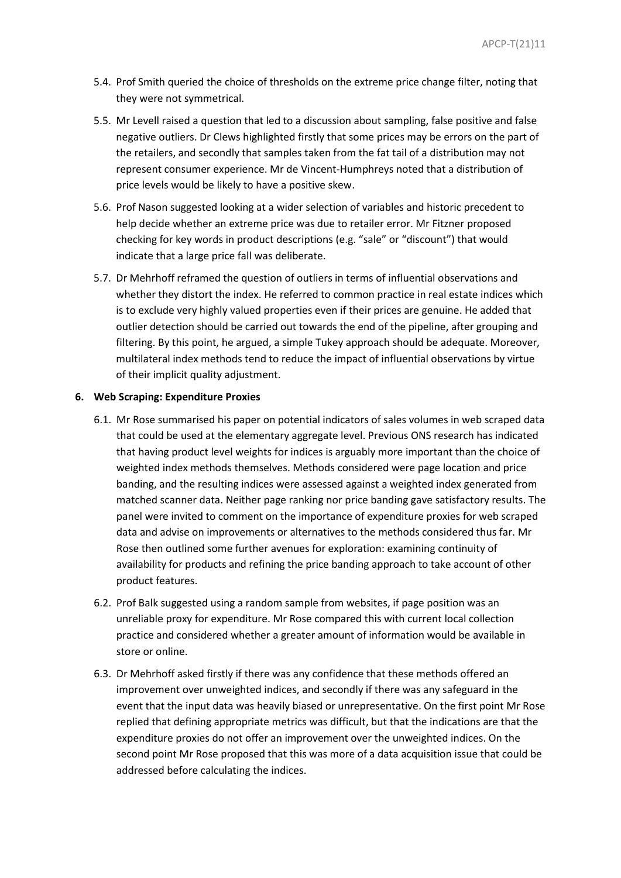- 5.4. Prof Smith queried the choice of thresholds on the extreme price change filter, noting that they were not symmetrical.
- 5.5. Mr Levell raised a question that led to a discussion about sampling, false positive and false negative outliers. Dr Clews highlighted firstly that some prices may be errors on the part of the retailers, and secondly that samples taken from the fat tail of a distribution may not represent consumer experience. Mr de Vincent-Humphreys noted that a distribution of price levels would be likely to have a positive skew.
- 5.6. Prof Nason suggested looking at a wider selection of variables and historic precedent to help decide whether an extreme price was due to retailer error. Mr Fitzner proposed checking for key words in product descriptions (e.g. "sale" or "discount") that would indicate that a large price fall was deliberate.
- 5.7. Dr Mehrhoff reframed the question of outliers in terms of influential observations and whether they distort the index. He referred to common practice in real estate indices which is to exclude very highly valued properties even if their prices are genuine. He added that outlier detection should be carried out towards the end of the pipeline, after grouping and filtering. By this point, he argued, a simple Tukey approach should be adequate. Moreover, multilateral index methods tend to reduce the impact of influential observations by virtue of their implicit quality adjustment.

# **6. Web Scraping: Expenditure Proxies**

- 6.1. Mr Rose summarised his paper on potential indicators of sales volumes in web scraped data that could be used at the elementary aggregate level. Previous ONS research has indicated that having product level weights for indices is arguably more important than the choice of weighted index methods themselves. Methods considered were page location and price banding, and the resulting indices were assessed against a weighted index generated from matched scanner data. Neither page ranking nor price banding gave satisfactory results. The panel were invited to comment on the importance of expenditure proxies for web scraped data and advise on improvements or alternatives to the methods considered thus far. Mr Rose then outlined some further avenues for exploration: examining continuity of availability for products and refining the price banding approach to take account of other product features.
- 6.2. Prof Balk suggested using a random sample from websites, if page position was an unreliable proxy for expenditure. Mr Rose compared this with current local collection practice and considered whether a greater amount of information would be available in store or online.
- 6.3. Dr Mehrhoff asked firstly if there was any confidence that these methods offered an improvement over unweighted indices, and secondly if there was any safeguard in the event that the input data was heavily biased or unrepresentative. On the first point Mr Rose replied that defining appropriate metrics was difficult, but that the indications are that the expenditure proxies do not offer an improvement over the unweighted indices. On the second point Mr Rose proposed that this was more of a data acquisition issue that could be addressed before calculating the indices.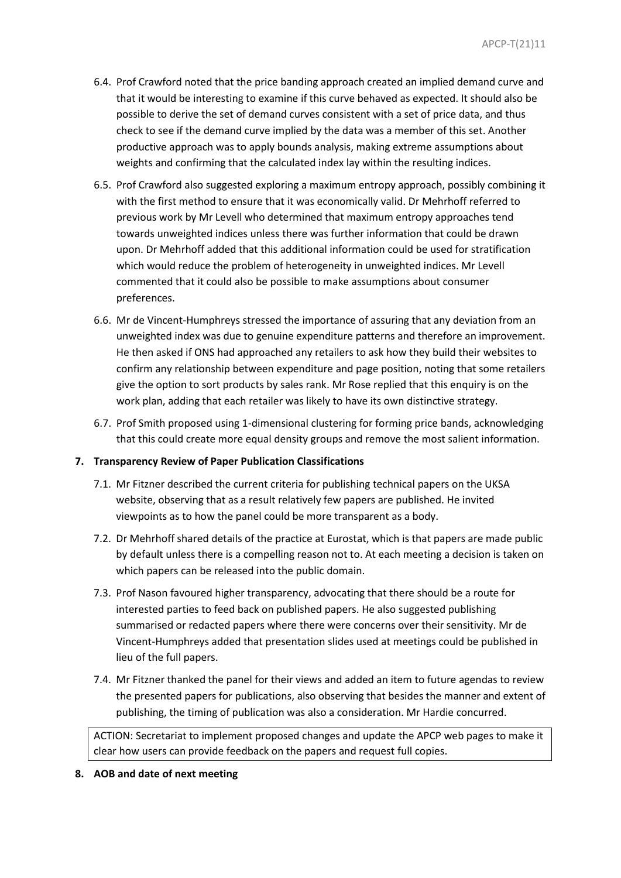- 6.4. Prof Crawford noted that the price banding approach created an implied demand curve and that it would be interesting to examine if this curve behaved as expected. It should also be possible to derive the set of demand curves consistent with a set of price data, and thus check to see if the demand curve implied by the data was a member of this set. Another productive approach was to apply bounds analysis, making extreme assumptions about weights and confirming that the calculated index lay within the resulting indices.
- 6.5. Prof Crawford also suggested exploring a maximum entropy approach, possibly combining it with the first method to ensure that it was economically valid. Dr Mehrhoff referred to previous work by Mr Levell who determined that maximum entropy approaches tend towards unweighted indices unless there was further information that could be drawn upon. Dr Mehrhoff added that this additional information could be used for stratification which would reduce the problem of heterogeneity in unweighted indices. Mr Levell commented that it could also be possible to make assumptions about consumer preferences.
- 6.6. Mr de Vincent-Humphreys stressed the importance of assuring that any deviation from an unweighted index was due to genuine expenditure patterns and therefore an improvement. He then asked if ONS had approached any retailers to ask how they build their websites to confirm any relationship between expenditure and page position, noting that some retailers give the option to sort products by sales rank. Mr Rose replied that this enquiry is on the work plan, adding that each retailer was likely to have its own distinctive strategy.
- 6.7. Prof Smith proposed using 1-dimensional clustering for forming price bands, acknowledging that this could create more equal density groups and remove the most salient information.

# **7. Transparency Review of Paper Publication Classifications**

- 7.1. Mr Fitzner described the current criteria for publishing technical papers on the UKSA website, observing that as a result relatively few papers are published. He invited viewpoints as to how the panel could be more transparent as a body.
- 7.2. Dr Mehrhoff shared details of the practice at Eurostat, which is that papers are made public by default unless there is a compelling reason not to. At each meeting a decision is taken on which papers can be released into the public domain.
- 7.3. Prof Nason favoured higher transparency, advocating that there should be a route for interested parties to feed back on published papers. He also suggested publishing summarised or redacted papers where there were concerns over their sensitivity. Mr de Vincent-Humphreys added that presentation slides used at meetings could be published in lieu of the full papers.
- 7.4. Mr Fitzner thanked the panel for their views and added an item to future agendas to review the presented papers for publications, also observing that besides the manner and extent of publishing, the timing of publication was also a consideration. Mr Hardie concurred.

ACTION: Secretariat to implement proposed changes and update the APCP web pages to make it clear how users can provide feedback on the papers and request full copies.